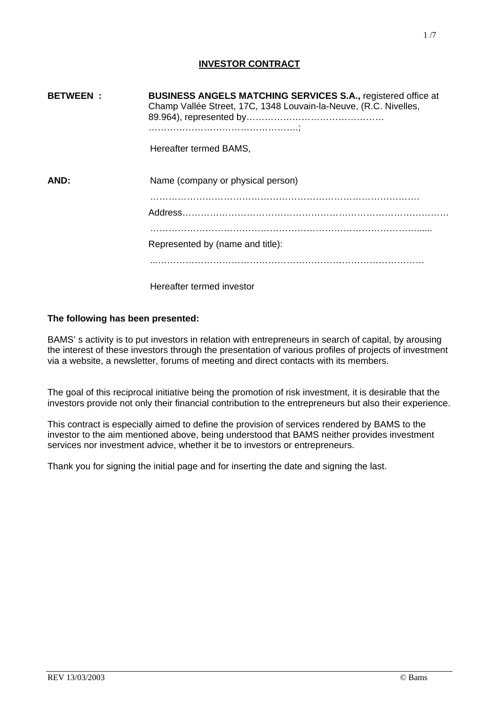# **INVESTOR CONTRACT**

| <b>BETWEEN</b> | <b>BUSINESS ANGELS MATCHING SERVICES S.A., registered office at</b><br>Champ Vallée Street, 17C, 1348 Louvain-la-Neuve, (R.C. Nivelles, |
|----------------|-----------------------------------------------------------------------------------------------------------------------------------------|
|                | Hereafter termed BAMS,                                                                                                                  |
| AND:           | Name (company or physical person)                                                                                                       |
|                |                                                                                                                                         |
|                | Represented by (name and title):                                                                                                        |
|                |                                                                                                                                         |

Hereafter termed investor

## **The following has been presented:**

BAMS' s activity is to put investors in relation with entrepreneurs in search of capital, by arousing the interest of these investors through the presentation of various profiles of projects of investment via a website, a newsletter, forums of meeting and direct contacts with its members.

The goal of this reciprocal initiative being the promotion of risk investment, it is desirable that the investors provide not only their financial contribution to the entrepreneurs but also their experience.

This contract is especially aimed to define the provision of services rendered by BAMS to the investor to the aim mentioned above, being understood that BAMS neither provides investment services nor investment advice, whether it be to investors or entrepreneurs.

Thank you for signing the initial page and for inserting the date and signing the last.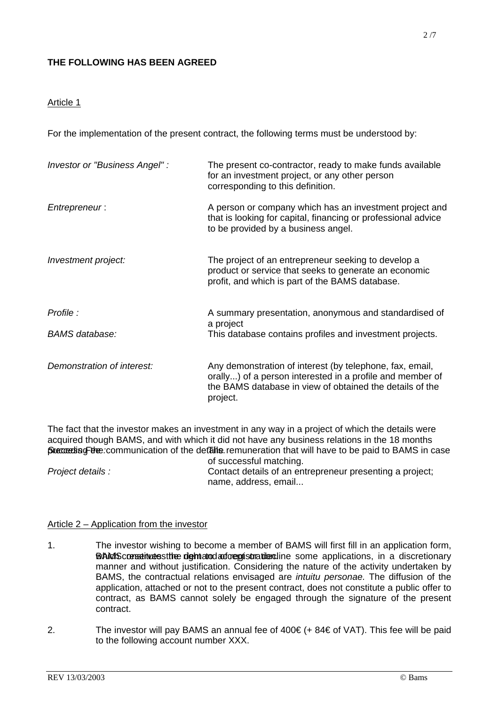# **THE FOLLOWING HAS BEEN AGREED**

## Article 1

For the implementation of the present contract, the following terms must be understood by:

| Investor or "Business Angel" : | The present co-contractor, ready to make funds available<br>for an investment project, or any other person<br>corresponding to this definition.                                               |
|--------------------------------|-----------------------------------------------------------------------------------------------------------------------------------------------------------------------------------------------|
| Entrepreneur:                  | A person or company which has an investment project and<br>that is looking for capital, financing or professional advice<br>to be provided by a business angel.                               |
| Investment project:            | The project of an entrepreneur seeking to develop a<br>product or service that seeks to generate an economic<br>profit, and which is part of the BAMS database.                               |
| Profile :                      | A summary presentation, anonymous and standardised of<br>a project                                                                                                                            |
| <b>BAMS</b> database:          | This database contains profiles and investment projects.                                                                                                                                      |
| Demonstration of interest:     | Any demonstration of interest (by telephone, fax, email,<br>orally) of a person interested in a profile and member of<br>the BAMS database in view of obtained the details of the<br>project. |

The fact that the investor makes an investment in any way in a project of which the details were acquired though BAMS, and with which it did not have any business relations in the 18 months preceding the communication of the details remuneration that will have to be paid to BAMS in case of successful matching.

*Project details :* Contact details of an entrepreneur presenting a project; name, address, email...

## Article 2 – Application from the investor

- 1. The investor wishing to become a member of BAMS will first fill in an application form, **Which constitutes the demand addemistration.** Some applications, in a discretionary manner and without justification. Considering the nature of the activity undertaken by BAMS, the contractual relations envisaged are *intuitu personae.* The diffusion of the application, attached or not to the present contract, does not constitute a public offer to contract, as BAMS cannot solely be engaged through the signature of the present contract.
- 2. The investor will pay BAMS an annual fee of  $400€$  (+  $84€$  of VAT). This fee will be paid to the following account number XXX.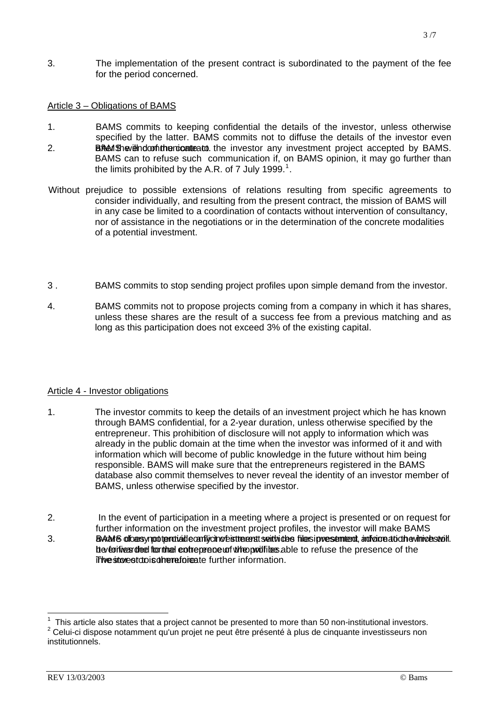3. The implementation of the present contract is subordinated to the payment of the fee for the period concerned.

## Article 3 – Obligations of BAMS

- 1. BAMS commits to keeping confidential the details of the investor, unless otherwise specified by the latter. BAMS commits not to diffuse the details of the investor even BAMS with computer the the investor any investment project accepted by BAMS. BAMS can to refuse such communication if, on BAMS opinion, it may go further than the limits prohibited by the A.R. of 7 July [1](#page-4-0)999.<sup>1</sup>. 2.
- Without prejudice to possible extensions of relations resulting from specific agreements to consider individually, and resulting from the present contract, the mission of BAMS will in any case be limited to a coordination of contacts without intervention of consultancy, nor of assistance in the negotiations or in the determination of the concrete modalities of a potential investment.
- 3 . BAMS commits to stop sending project profiles upon simple demand from the investor.
- 4. BAMS commits not to propose projects coming from a company in which it has shares, unless these shares are the result of a success fee from a previous matching and as long as this participation does not exceed 3% of the existing capital.

## Article 4 - Investor obligations

- 1. The investor commits to keep the details of an investment project which he has known through BAMS confidential, for a 2-year duration, unless otherwise specified by the entrepreneur. This prohibition of disclosure will not apply to information which was already in the public domain at the time when the investor was informed of it and with information which will become of public knowledge in the future without him being responsible. BAMS will make sure that the entrepreneurs registered in the BAMS database also commit themselves to never reveal the identity of an investor member of BAMS, unless otherwise specified by the investor.
- 2. In the event of participation in a meeting where a project is presented or on request for further information on the investment project profiles, the investor will make BAMS the veto inveasing the formulation the entrepreneur in who payoffiles able to refuse the presence of the The intertation is the reformation. 3. BAMS dicasy potential conflycing estimatis and interest with the subsection adviced to the vinvestoil.

 $\overline{\phantom{a}}$ 

<sup>1</sup> This article also states that a project cannot be presented to more than 50 non-institutional investors. 2  $2$  Celui-ci dispose notamment qu'un projet ne peut être présenté à plus de cinquante investisseurs non institutionnels.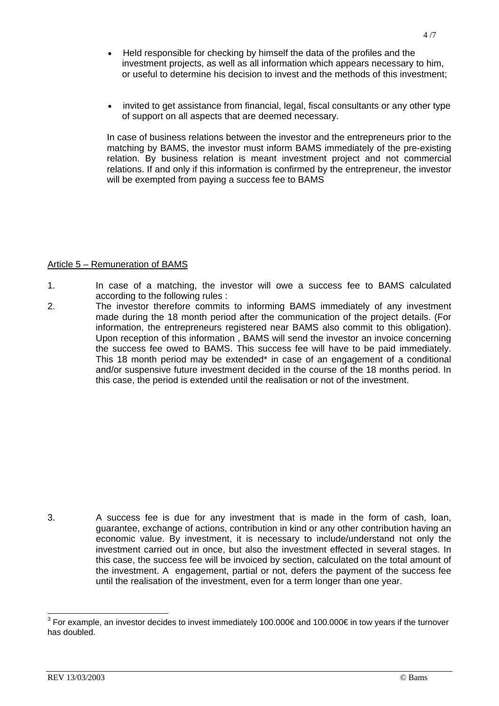- Held responsible for checking by himself the data of the profiles and the investment projects, as well as all information which appears necessary to him, or useful to determine his decision to invest and the methods of this investment;
- invited to get assistance from financial, legal, fiscal consultants or any other type of support on all aspects that are deemed necessary.

In case of business relations between the investor and the entrepreneurs prior to the matching by BAMS, the investor must inform BAMS immediately of the pre-existing relation. By business relation is meant investment project and not commercial relations. If and only if this information is confirmed by the entrepreneur, the investor will be exempted from paying a success fee to BAMS

## Article 5 – Remuneration of BAMS

- 1. In case of a matching, the investor will owe a success fee to BAMS calculated according to the following rules :
- 2. The investor therefore commits to informing BAMS immediately of any investment made during the 18 month period after the communication of the project details. (For information, the entrepreneurs registered near BAMS also commit to this obligation). Upon reception of this information , BAMS will send the investor an invoice concerning the success fee owed to BAMS. This success fee will have to be paid immediately. This 18 month period may be extended\* in case of an engagement of a conditional and/or suspensive future investment decided in the course of the 18 months period. In this case, the period is extended until the realisation or not of the investment.

3. A success fee is due for any investment that is made in the form of cash, loan, guarantee, exchange of actions, contribution in kind or any other contribution having an economic value. By investment, it is necessary to include/understand not only the investment carried out in once, but also the investment effected in several stages. In this case, the success fee will be invoiced by section, calculated on the total amount of the investment. A engagement, partial or not, defers the payment of the success fee until the realisation of the investment, even for a term longer than one year.

\_\_\_\_\_\_\_\_\_\_\_\_\_\_\_\_\_\_\_\_\_\_\_\_\_\_\_\_\_\_\_\_\_\_\_\_<br><sup>3</sup> For example, an investor decides to invest immediately 100.000€ and 100.000€ in tow years if the turnover has doubled.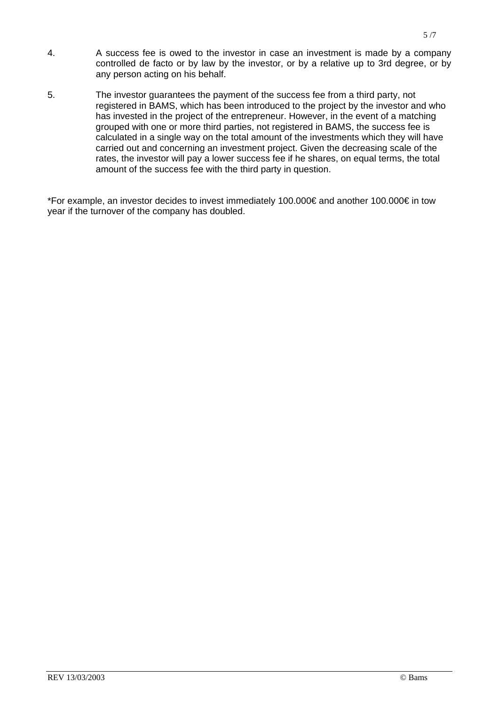- 4. A success fee is owed to the investor in case an investment is made by a company controlled de facto or by law by the investor, or by a relative up to 3rd degree, or by any person acting on his behalf.
- 5. The investor guarantees the payment of the success fee from a third party, not registered in BAMS, which has been introduced to the project by the investor and who has invested in the project of the entrepreneur. However, in the event of a matching grouped with one or more third parties, not registered in BAMS, the success fee is calculated in a single way on the total amount of the investments which they will have carried out and concerning an investment project. Given the decreasing scale of the rates, the investor will pay a lower success fee if he shares, on equal terms, the total amount of the success fee with the third party in question.

<span id="page-4-0"></span>\*For example, an investor decides to invest immediately 100.000€ and another 100.000€ in tow year if the turnover of the company has doubled.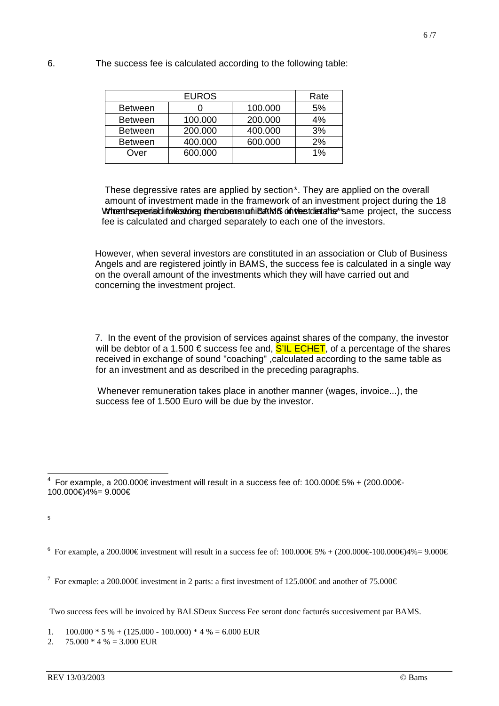| <b>EUROS</b>   |         |         | Rate |
|----------------|---------|---------|------|
| <b>Between</b> |         | 100.000 | 5%   |
| <b>Between</b> | 100.000 | 200.000 | 4%   |
| <b>Between</b> | 200.000 | 400.000 | 3%   |
| <b>Between</b> | 400.000 | 600.000 | 2%   |
| Over           | 600.000 |         | 1%   |

These degressive rates are applied by section\*. They are applied on the overall amount of investment made in the framework of an investment project during the 18 Wheen insever radding disensions under the months of the state of the success months period following the communication of the details of the details of the success fee is calculated and charged separately to each one of the investors.

However, when several investors are constituted in an association or Club of Business Angels and are registered jointly in BAMS, the success fee is calculated in a single way on the overall amount of the investments which they will have carried out and concerning the investment project.

7. In the event of the provision of services against shares of the company, the investor will be debtor of a 1.500  $\epsilon$  success fee and, S'IL ECHET, of a percentage of the shares received in exchange of sound "coaching" ,calculated according to the same table as for an investment and as described in the preceding paragraphs.

 Whenever remuneration takes place in another manner (wages, invoice...), the success fee of 1.500 Euro will be due by the investor.

Two success fees will be invoiced by BALSDeux Success Fee seront donc facturés succesivement par BAMS.

1.  $100.000 * 5 % + (125.000 - 100.000) * 4 % = 6.000 EUR$ 

2.  $75.000 * 4 \% = 3.000$  EUR

 4 For example, a 200.000€ investment will result in a success fee of: 100.000€ 5% + (200.000€- 100.000€)4%= 9.000€

<sup>5</sup>

<sup>&</sup>lt;sup>6</sup> For example, a 200.000€ investment will result in a success fee of:  $100.000\text{€}5\% + (200.000\text{€}100.000\text{€}4\% = 9.000\text{€}100.000\text{€}100.000\text{€}100.000\text{€}100.000\text{€}100.000\text{€}100.000\text{€}100.000\text{€}100.000$ 

<sup>&</sup>lt;sup>7</sup> For exmaple: a 200.000€ investment in 2 parts: a first investment of 125.000€ and another of 75.000€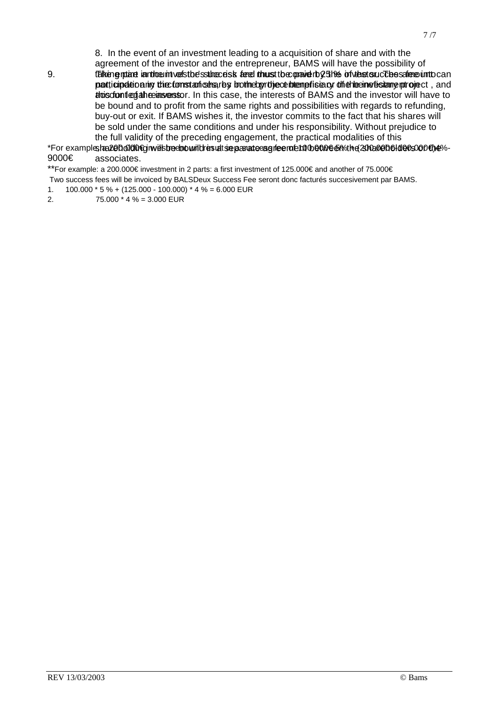8. In the event of an investment leading to a acquisition of share and with the

agreement of the investor and the entrepreneur, BAMS will have the possibility of

thus content and the interests of BAMS and the investor will have to be bound and to profit from the same rights and possibilities with regards to refunding, buy-out or exit. If BAMS wishes it, the investor commits to the fact that his shares will be sold under the same conditions and under his responsibility. Without prejudice to the full validity of the preceding engagement, the practical modalities of this 9. The following and the introduced state of the success feed the success feed into the success feed into can positicipation in the form stan set any both exprotice to tempfise by the hean of is tange project, and

associates. \*For example, ha 200.000 for with behold will be a state agreement beholder and a success fee of 100.000 for the shareholders fee of 100.000 for the shareholders of the in a success fee of 100.000 for the in a success fee 9000€

\*\*For example: a 200.000€ investment in 2 parts: a first investment of 125.000€ and another of 75.000€

Two success fees will be invoiced by BALSDeux Success Fee seront donc facturés succesivement par BAMS.

1.  $100.000 * 5 % + (125.000 - 100.000) * 4 % = 6.000 EUR$ 

2. 75.000 \* 4 % = 3.000 EUR